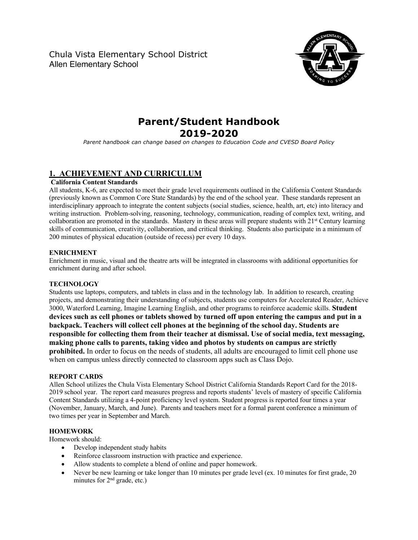Chula Vista Elementary School District Allen Elementary School



# **Parent/Student Handbook 2019-2020**

*Parent handbook can change based on changes to Education Code and CVESD Board Policy*

# **1. ACHIEVEMENT AND CURRICULUM**

## **California Content Standards**

All students, K-6, are expected to meet their grade level requirements outlined in the California Content Standards (previously known as Common Core State Standards) by the end of the school year. These standards represent an interdisciplinary approach to integrate the content subjects (social studies, science, health, art, etc) into literacy and writing instruction. Problem-solving, reasoning, technology, communication, reading of complex text, writing, and collaboration are promoted in the standards. Mastery in these areas will prepare students with  $21<sup>st</sup>$  Century learning skills of communication, creativity, collaboration, and critical thinking. Students also participate in a minimum of 200 minutes of physical education (outside of recess) per every 10 days.

## **ENRICHMENT**

Enrichment in music, visual and the theatre arts will be integrated in classrooms with additional opportunities for enrichment during and after school.

## **TECHNOLOGY**

Students use laptops, computers, and tablets in class and in the technology lab. In addition to research, creating projects, and demonstrating their understanding of subjects, students use computers for Accelerated Reader, Achieve 3000, Waterford Learning, Imagine Learning English, and other programs to reinforce academic skills. **Student devices such as cell phones or tablets showed by turned off upon entering the campus and put in a backpack. Teachers will collect cell phones at the beginning of the school day. Students are responsible for collecting them from their teacher at dismissal. Use of social media, text messaging, making phone calls to parents, taking video and photos by students on campus are strictly prohibited.** In order to focus on the needs of students, all adults are encouraged to limit cell phone use when on campus unless directly connected to classroom apps such as Class Dojo.

## **REPORT CARDS**

Allen School utilizes the Chula Vista Elementary School District California Standards Report Card for the 2018- 2019 school year. The report card measures progress and reports students' levels of mastery of specific California Content Standards utilizing a 4-point proficiency level system. Student progress is reported four times a year (November, January, March, and June). Parents and teachers meet for a formal parent conference a minimum of two times per year in September and March.

# **HOMEWORK**

Homework should:

- Develop independent study habits
- Reinforce classroom instruction with practice and experience.
- Allow students to complete a blend of online and paper homework.
- Never be new learning or take longer than 10 minutes per grade level (ex. 10 minutes for first grade, 20 minutes for  $2<sup>nd</sup>$  grade, etc.)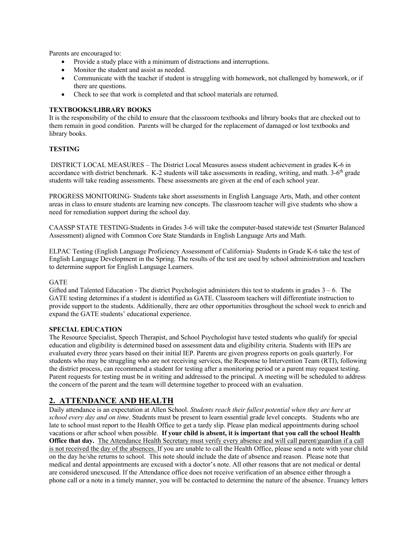Parents are encouraged to:

- Provide a study place with a minimum of distractions and interruptions.
- Monitor the student and assist as needed.
- Communicate with the teacher if student is struggling with homework, not challenged by homework, or if there are questions.
- Check to see that work is completed and that school materials are returned.

## **TEXTBOOKS/LIBRARY BOOKS**

It is the responsibility of the child to ensure that the classroom textbooks and library books that are checked out to them remain in good condition. Parents will be charged for the replacement of damaged or lost textbooks and library books.

## **TESTING**

DISTRICT LOCAL MEASURES – The District Local Measures assess student achievement in grades K-6 in accordance with district benchmark. K-2 students will take assessments in reading, writing, and math. 3-6<sup>th</sup> grade students will take reading assessments. These assessments are given at the end of each school year.

PROGRESS MONITORING- Students take short assessments in English Language Arts, Math, and other content areas in class to ensure students are learning new concepts. The classroom teacher will give students who show a need for remediation support during the school day.

CAASSP STATE TESTING-Students in Grades 3-6 will take the computer-based statewide test (Smarter Balanced Assessment) aligned with Common Core State Standards in English Language Arts and Math.

ELPAC Testing (English Language Proficiency Assessment of California)- Students in Grade K-6 take the test of English Language Development in the Spring. The results of the test are used by school administration and teachers to determine support for English Language Learners.

## GATE

Gifted and Talented Education - The district Psychologist administers this test to students in grades  $3 - 6$ . The GATE testing determines if a student is identified as GATE. Classroom teachers will differentiate instruction to provide support to the students. Additionally, there are other opportunities throughout the school week to enrich and expand the GATE students' educational experience.

## **SPECIAL EDUCATION**

The Resource Specialist, Speech Therapist, and School Psychologist have tested students who qualify for special education and eligibility is determined based on assessment data and eligibility criteria. Students with IEPs are evaluated every three years based on their initial IEP. Parents are given progress reports on goals quarterly. For students who may be struggling who are not receiving services, the Response to Intervention Team (RTI), following the district process, can recommend a student for testing after a monitoring period or a parent may request testing. Parent requests for testing must be in writing and addressed to the principal. A meeting will be scheduled to address the concern of the parent and the team will determine together to proceed with an evaluation.

# **2. ATTENDANCE AND HEALTH**

Daily attendance is an expectation at Allen School. *Students reach their fullest potential when they are here at school every day and on time*. Students must be present to learn essential grade level concepts. Students who are late to school must report to the Health Office to get a tardy slip. Please plan medical appointments during school vacations or after school when possible. **If your child is absent, it is important that you call the school Health Office that day.** The Attendance Health Secretary must verify every absence and will call parent/guardian if a call is not received the day of the absences. If you are unable to call the Health Office, please send a note with your child on the day he/she returns to school. This note should include the date of absence and reason. Please note that medical and dental appointments are excused with a doctor's note. All other reasons that are not medical or dental are considered unexcused. If the Attendance office does not receive verification of an absence either through a phone call or a note in a timely manner, you will be contacted to determine the nature of the absence. Truancy letters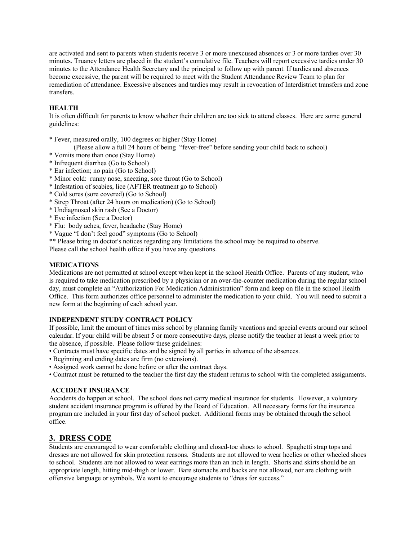are activated and sent to parents when students receive 3 or more unexcused absences or 3 or more tardies over 30 minutes. Truancy letters are placed in the student's cumulative file. Teachers will report excessive tardies under 30 minutes to the Attendance Health Secretary and the principal to follow up with parent. If tardies and absences become excessive, the parent will be required to meet with the Student Attendance Review Team to plan for remediation of attendance. Excessive absences and tardies may result in revocation of Interdistrict transfers and zone transfers.

## **HEALTH**

It is often difficult for parents to know whether their children are too sick to attend classes. Here are some general guidelines:

\* Fever, measured orally, 100 degrees or higher (Stay Home)

(Please allow a full 24 hours of being "fever-free" before sending your child back to school)

- \* Vomits more than once (Stay Home)
- \* Infrequent diarrhea (Go to School)
- \* Ear infection; no pain (Go to School)
- \* Minor cold: runny nose, sneezing, sore throat (Go to School)
- \* Infestation of scabies, lice (AFTER treatment go to School)
- \* Cold sores (sore covered) (Go to School)
- \* Strep Throat (after 24 hours on medication) (Go to School)
- \* Undiagnosed skin rash (See a Doctor)
- \* Eye infection (See a Doctor)
- \* Flu: body aches, fever, headache (Stay Home)
- \* Vague "I don't feel good" symptoms (Go to School)
- \*\* Please bring in doctor's notices regarding any limitations the school may be required to observe.

Please call the school health office if you have any questions.

## **MEDICATIONS**

Medications are not permitted at school except when kept in the school Health Office. Parents of any student, who is required to take medication prescribed by a physician or an over-the-counter medication during the regular school day, must complete an "Authorization For Medication Administration" form and keep on file in the school Health Office. This form authorizes office personnel to administer the medication to your child. You will need to submit a new form at the beginning of each school year.

## **INDEPENDENT STUDY CONTRACT POLICY**

If possible, limit the amount of times miss school by planning family vacations and special events around our school calendar. If your child will be absent 5 or more consecutive days, please notify the teacher at least a week prior to the absence, if possible. Please follow these guidelines:

- Contracts must have specific dates and be signed by all parties in advance of the absences.
- Beginning and ending dates are firm (no extensions).
- Assigned work cannot be done before or after the contract days.
- Contract must be returned to the teacher the first day the student returns to school with the completed assignments.

## **ACCIDENT INSURANCE**

Accidents do happen at school. The school does not carry medical insurance for students. However, a voluntary student accident insurance program is offered by the Board of Education. All necessary forms for the insurance program are included in your first day of school packet. Additional forms may be obtained through the school office.

# **3. DRESS CODE**

Students are encouraged to wear comfortable clothing and closed-toe shoes to school. Spaghetti strap tops and dresses are not allowed for skin protection reasons. Students are not allowed to wear heelies or other wheeled shoes to school. Students are not allowed to wear earrings more than an inch in length. Shorts and skirts should be an appropriate length, hitting mid-thigh or lower. Bare stomachs and backs are not allowed, nor are clothing with offensive language or symbols. We want to encourage students to "dress for success."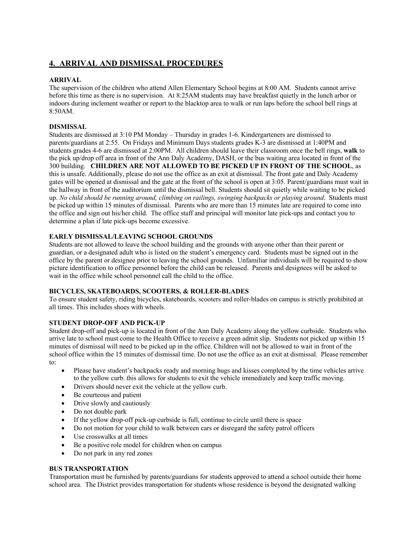# **4. ARRIVAL AND DISMISSAL PROCEDURES**

## **ARRIVAL**

The supervision of the children who attend Allen Elementary School begins at 8:00 AM. Students cannot arrive before this time as there is no supervision. At 8:25AM students may have breakfast quietly in the lunch arbor or indoors during inclement weather or report to the blacktop area to walk or run laps before the school bell rings at 8:50AM.

## **DISMISSAL**

Students are dismissed at 3:10 PM Monday – Thursday in grades 1-6. Kindergarteners are dismissed to parents/guardians at 2:55. On Fridays and Minimum Days students grades K-3 are dismissed at 1:40PM and students grades 4-6 are dismissed at 2:00PM. All children should leave their classroom once the bell rings, **walk** to the pick up/drop off area in front of the Ann Daly Academy, DASH, or the bus waiting area located in front of the 300 building. **CHILDREN ARE NOT ALLOWED TO BE PICKED UP IN FRONT OF THE SCHOOL**, as this is unsafe. Additionally, please do not use the office as an exit at dismissal. The front gate and Daly Academy gates will be opened at dismissal and the gate at the front of the school is open at 3:05. Parent/guardians must wait in the hallway in front of the auditorium until the dismissal bell. Students should sit quietly while waiting to be picked up. *No child should be running around, climbing on railings, swinging backpacks or playing around*. Students must be picked up within 15 minutes of dismissal. Parents who are more than 15 minutes late are required to come into the office and sign out his/her child. The office staff and principal will monitor late pick-ups and contact you to determine a plan if late pick-ups become excessive.

## **EARLY DISMISSAL/LEAVING SCHOOL GROUNDS**

Students are not allowed to leave the school building and the grounds with anyone other than their parent or guardian, or a designated adult who is listed on the student's emergency card. Students must be signed out in the office by the parent or designee prior to leaving the school grounds. Unfamiliar individuals will be required to show picture identification to office personnel before the child can be released. Parents and designees will be asked to wait in the office while school personnel call the child to the office.

## **BICYCLES, SKATEBOARDS, SCOOTERS, & ROLLER-BLADES**

To ensure student safety, riding bicycles, skateboards, scooters and roller-blades on campus is strictly prohibited at all times. This includes shoes with wheels.

# **STUDENT DROP-OFF AND PICK-UP**

Student drop-off and pick-up is located in front of the Ann Daly Academy along the yellow curbside. Students who arrive late to school must come to the Health Office to receive a green admit slip. Students not picked up within 15 minutes of dismissal will need to be picked up in the office. Children will not be allowed to wait in front of the school office within the 15 minutes of dismissal time. Do not use the office as an exit at dismissal. Please remember to:

- Please have student's backpacks ready and morning hugs and kisses completed by the time vehicles arrive to the yellow curb. this allows for students to exit the vehicle immediately and keep traffic moving.
- Drivers should never exit the vehicle at the yellow curb.
- Be courteous and patient
- Drive slowly and cautiously
- Do not double park
- If the yellow drop-off pick-up curbside is full, continue to circle until there is space
- Do not motion for your child to walk between cars or disregard the safety patrol officers
- Use crosswalks at all times
- Be a positive role model for children when on campus
- Do not park in any red zones

# **BUS TRANSPORTATION**

Transportation must be furnished by parents/guardians for students approved to attend a school outside their home school area. The District provides transportation for students whose residence is beyond the designated walking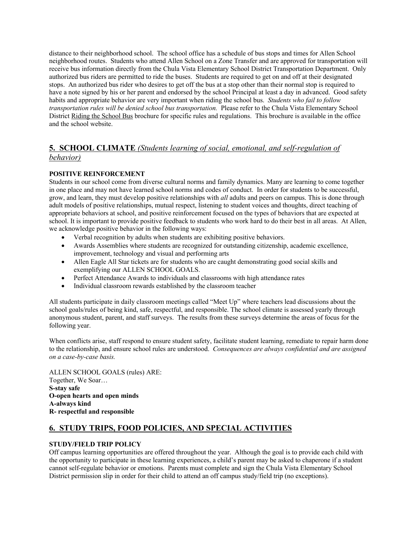distance to their neighborhood school. The school office has a schedule of bus stops and times for Allen School neighborhood routes. Students who attend Allen School on a Zone Transfer and are approved for transportation will receive bus information directly from the Chula Vista Elementary School District Transportation Department. Only authorized bus riders are permitted to ride the buses. Students are required to get on and off at their designated stops. An authorized bus rider who desires to get off the bus at a stop other than their normal stop is required to have a note signed by his or her parent and endorsed by the school Principal at least a day in advanced. Good safety habits and appropriate behavior are very important when riding the school bus. *Students who fail to follow transportation rules will be denied school bus transportation.* Please refer to the Chula Vista Elementary School District Riding the School Bus brochure for specific rules and regulations. This brochure is available in the office and the school website.

# **5. SCHOOL CLIMATE** *(Students learning of social, emotional, and self-regulation of behavior)*

# **POSITIVE REINFORCEMENT**

Students in our school come from diverse cultural norms and family dynamics. Many are learning to come together in one place and may not have learned school norms and codes of conduct. In order for students to be successful, grow, and learn, they must develop positive relationships with *all* adults and peers on campus. This is done through adult models of positive relationships, mutual respect, listening to student voices and thoughts, direct teaching of appropriate behaviors at school, and positive reinforcement focused on the types of behaviors that are expected at school. It is important to provide positive feedback to students who work hard to do their best in all areas. At Allen, we acknowledge positive behavior in the following ways:

- Verbal recognition by adults when students are exhibiting positive behaviors.
- Awards Assemblies where students are recognized for outstanding citizenship, academic excellence, improvement, technology and visual and performing arts
- Allen Eagle All Star tickets are for students who are caught demonstrating good social skills and exemplifying our ALLEN SCHOOL GOALS.
- Perfect Attendance Awards to individuals and classrooms with high attendance rates
- Individual classroom rewards established by the classroom teacher

All students participate in daily classroom meetings called "Meet Up" where teachers lead discussions about the school goals/rules of being kind, safe, respectful, and responsible. The school climate is assessed yearly through anonymous student, parent, and staff surveys. The results from these surveys determine the areas of focus for the following year.

When conflicts arise, staff respond to ensure student safety, facilitate student learning, remediate to repair harm done to the relationship, and ensure school rules are understood. *Consequences are always confidential and are assigned on a case-by-case basis.*

ALLEN SCHOOL GOALS (rules) ARE: Together, We Soar… **S-stay safe O-open hearts and open minds A-always kind R- respectful and responsible**

# **6. STUDY TRIPS, FOOD POLICIES, AND SPECIAL ACTIVITIES**

## **STUDY/FIELD TRIP POLICY**

Off campus learning opportunities are offered throughout the year. Although the goal is to provide each child with the opportunity to participate in these learning experiences, a child's parent may be asked to chaperone if a student cannot self-regulate behavior or emotions. Parents must complete and sign the Chula Vista Elementary School District permission slip in order for their child to attend an off campus study/field trip (no exceptions).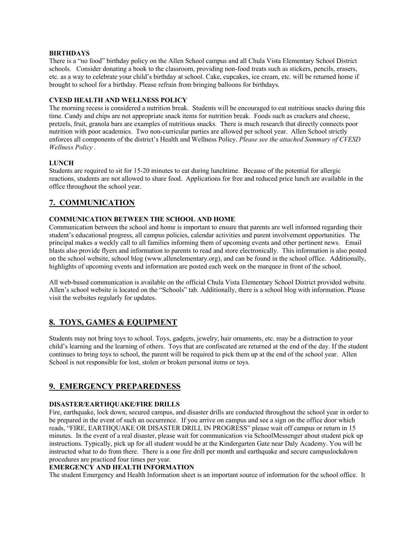#### **BIRTHDAYS**

There is a "no food" birthday policy on the Allen School campus and all Chula Vista Elementary School District schools. Consider donating a book to the classroom, providing non-food treats such as stickers, pencils, erasers, etc. as a way to celebrate your child's birthday at school. Cake, cupcakes, ice cream, etc. will be returned home if brought to school for a birthday. Please refrain from bringing balloons for birthdays.

### **CVESD HEALTH AND WELLNESS POLICY**

The morning recess is considered a nutrition break. Students will be encouraged to eat nutritious snacks during this time. Candy and chips are not appropriate snack items for nutrition break. Foods such as crackers and cheese, pretzels, fruit, granola bars are examples of nutritious snacks. There is much research that directly connects poor nutrition with poor academics. Two non-curricular parties are allowed per school year. Allen School strictly enforces all components of the district's Health and Wellness Policy. *Please see the attached Summary of CVESD Wellness Policy .*

#### **LUNCH**

Students are required to sit for 15-20 minutes to eat during lunchtime. Because of the potential for allergic reactions, students are not allowed to share food. Applications for free and reduced price lunch are available in the office throughout the school year.

# **7. COMMUNICATION**

#### **COMMUNICATION BETWEEN THE SCHOOL AND HOME**

Communication between the school and home is important to ensure that parents are well informed regarding their student's educational progress, all campus policies, calendar activities and parent involvement opportunities. The principal makes a weekly call to all families informing them of upcoming events and other pertinent news. Email blasts also provide flyers and information to parents to read and store electronically. This information is also posted on the school website, school blog (www.allenelementary.org), and can be found in the school office. Additionally, highlights of upcoming events and information are posted each week on the marquee in front of the school.

All web-based communication is available on the official Chula Vista Elementary School District provided website. Allen's school website is located on the "Schools" tab. Additionally, there is a school blog with information. Please visit the websites regularly for updates.

# **8. TOYS, GAMES & EQUIPMENT**

Students may not bring toys to school. Toys, gadgets, jewelry, hair ornaments, etc. may be a distraction to your child's learning and the learning of others. Toys that are confiscated are returned at the end of the day. If the student continues to bring toys to school, the parent will be required to pick them up at the end of the school year. Allen School is not responsible for lost, stolen or broken personal items or toys.

# **9. EMERGENCY PREPAREDNESS**

#### **DISASTER/EARTHQUAKE/FIRE DRILLS**

Fire, earthquake, lock down, secured campus, and disaster drills are conducted throughout the school year in order to be prepared in the event of such an occurrence. If you arrive on campus and see a sign on the office door which reads, "FIRE, EARTHQUAKE OR DISASTER DRILL IN PROGRESS" please wait off campus or return in 15 minutes. In the event of a real disaster, please wait for communication via SchoolMessenger about student pick up instructions. Typically, pick up for all student would be at the Kindergarten Gate near Daly Academy. You will be instructed what to do from there. There is a one fire drill per month and earthquake and secure campuslockdown procedures are practiced four times per year.

## **EMERGENCY AND HEALTH INFORMATION**

The student Emergency and Health Information sheet is an important source of information for the school office. It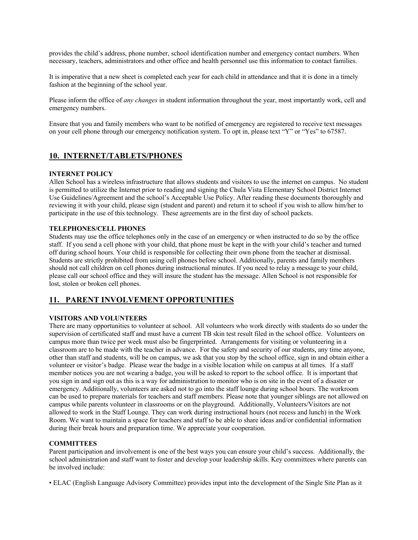provides the child's address, phone number, school identification number and emergency contact numbers. When necessary, teachers, administrators and other office and health personnel use this information to contact families.

It is imperative that a new sheet is completed each year for each child in attendance and that it is done in a timely fashion at the beginning of the school year.

Please inform the office of *any changes* in student information throughout the year, most importantly work, cell and emergency numbers.

Ensure that you and family members who want to be notified of emergency are registered to receive text messages on your cell phone through our emergency notification system. To opt in, please text "Y" or "Yes" to 67587.

# **10. INTERNET/TABLETS/PHONES**

#### **INTERNET POLICY**

Allen School has a wireless infrastructure that allows students and visitors to use the internet on campus. No student is permitted to utilize the Internet prior to reading and signing the Chula Vista Elementary School District Internet Use Guidelines/Agreement and the school's Acceptable Use Policy. After reading these documents thoroughly and reviewing it with your child, please sign (student and parent) and return it to school if you wish to allow him/her to participate in the use of this technology. These agreements are in the first day of school packets.

#### **TELEPHONES/CELL PHONES**

Students may use the office telephones only in the case of an emergency or when instructed to do so by the office staff. If you send a cell phone with your child, that phone must be kept in the with your child's teacher and turned off during school hours. Your child is responsible for collecting their own phone from the teacher at dismissal. Students are strictly prohibited from using cell phones before school. Additionally, parents and family members should not call children on cell phones during instructional minutes. If you need to relay a message to your child, please call our school office and they will insure the student has the message. Allen School is not responsible for lost, stolen or broken cell phones.

# **11. PARENT INVOLVEMENT OPPORTUNITIES**

#### **VISITORS AND VOLUNTEERS**

There are many opportunities to volunteer at school. All volunteers who work directly with students do so under the supervision of certificated staff and must have a current TB skin test result filed in the school office. Volunteers on campus more than twice per week must also be fingerprinted. Arrangements for visiting or volunteering in a classroom are to be made with the teacher in advance. For the safety and security of our students, any time anyone, other than staff and students, will be on campus, we ask that you stop by the school office, sign in and obtain either a volunteer or visitor's badge. Please wear the badge in a visible location while on campus at all times. If a staff member notices you are not wearing a badge, you will be asked to report to the school office. It is important that you sign in and sign out as this is a way for administration to monitor who is on site in the event of a disaster or emergency. Additionally, volunteers are asked not to go into the staff lounge during school hours. The workroom can be used to prepare materials for teachers and staff members. Please note that younger siblings are not allowed on campus while parents volunteer in classrooms or on the playground. Additionally, Volunteers/Visitors are not allowed to work in the Staff Lounge. They can work during instructional hours (not recess and lunch) in the Work Room. We want to maintain a space for teachers and staff to be able to share ideas and/or confidential information during their break hours and preparation time. We appreciate your cooperation.

## **COMMITTEES**

Parent participation and involvement is one of the best ways you can ensure your child's success. Additionally, the school administration and staff want to foster and develop your leadership skills. Key committees where parents can be involved include:

• ELAC (English Language Advisory Committee) provides input into the development of the Single Site Plan as it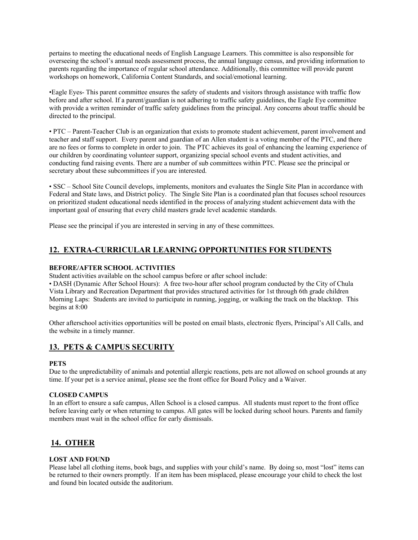pertains to meeting the educational needs of English Language Learners. This committee is also responsible for overseeing the school's annual needs assessment process, the annual language census, and providing information to parents regarding the importance of regular school attendance. Additionally, this committee will provide parent workshops on homework, California Content Standards, and social/emotional learning.

•Eagle Eyes- This parent committee ensures the safety of students and visitors through assistance with traffic flow before and after school. If a parent/guardian is not adhering to traffic safety guidelines, the Eagle Eye committee with provide a written reminder of traffic safety guidelines from the principal. Any concerns about traffic should be directed to the principal.

• PTC – Parent-Teacher Club is an organization that exists to promote student achievement, parent involvement and teacher and staff support. Every parent and guardian of an Allen student is a voting member of the PTC, and there are no fees or forms to complete in order to join. The PTC achieves its goal of enhancing the learning experience of our children by coordinating volunteer support, organizing special school events and student activities, and conducting fund raising events. There are a number of sub committees within PTC. Please see the principal or secretary about these subcommittees if you are interested.

• SSC – School Site Council develops, implements, monitors and evaluates the Single Site Plan in accordance with Federal and State laws, and District policy. The Single Site Plan is a coordinated plan that focuses school resources on prioritized student educational needs identified in the process of analyzing student achievement data with the important goal of ensuring that every child masters grade level academic standards.

Please see the principal if you are interested in serving in any of these committees.

# **12. EXTRA-CURRICULAR LEARNING OPPORTUNITIES FOR STUDENTS**

## **BEFORE/AFTER SCHOOL ACTIVITIES**

Student activities available on the school campus before or after school include:

• DASH (Dynamic After School Hours): A free two-hour after school program conducted by the City of Chula Vista Library and Recreation Department that provides structured activities for 1st through 6th grade children Morning Laps: Students are invited to participate in running, jogging, or walking the track on the blacktop. This begins at 8:00

Other afterschool activities opportunities will be posted on email blasts, electronic flyers, Principal's All Calls, and the website in a timely manner.

# **13. PETS & CAMPUS SECURITY**

## **PETS**

Due to the unpredictability of animals and potential allergic reactions, pets are not allowed on school grounds at any time. If your pet is a service animal, please see the front office for Board Policy and a Waiver.

## **CLOSED CAMPUS**

In an effort to ensure a safe campus, Allen School is a closed campus. All students must report to the front office before leaving early or when returning to campus. All gates will be locked during school hours. Parents and family members must wait in the school office for early dismissals.

# **14. OTHER**

## **LOST AND FOUND**

Please label all clothing items, book bags, and supplies with your child's name. By doing so, most "lost" items can be returned to their owners promptly. If an item has been misplaced, please encourage your child to check the lost and found bin located outside the auditorium.